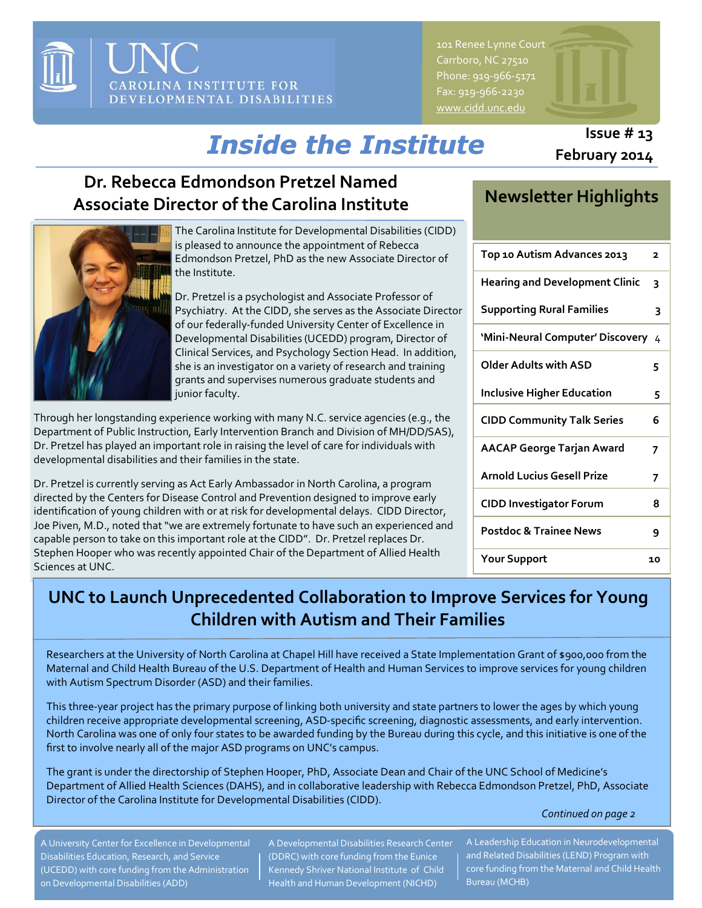

Carrboro, NC 27510 Phone: 919-966-5171 Fax: 919-966-2230 [www.cidd.unc.edu](http://www.cidd.unc.edu/)

# *Inside the Institute*

# **Dr. Rebecca Edmondson Pretzel Named Associate Director of the Carolina Institute**



The Carolina Institute for Developmental Disabilities (CIDD) is pleased to announce the appointment of Rebecca Edmondson Pretzel, PhD as the new Associate Director of the Institute.

Dr. Pretzel is a psychologist and Associate Professor of Psychiatry. At the CIDD, she serves as the Associate Director of our federally-funded University Center of Excellence in Developmental Disabilities (UCEDD) program, Director of Clinical Services, and Psychology Section Head. In addition, she is an investigator on a variety of research and training grants and supervises numerous graduate students and junior faculty.

Through her longstanding experience working with many N.C. service agencies (e.g., the Department of Public Instruction, Early Intervention Branch and Division of MH/DD/SAS), Dr. Pretzel has played an important role in raising the level of care for individuals with developmental disabilities and their families in the state.

Dr. Pretzel is currently serving as Act Early Ambassador in North Carolina, a program directed by the Centers for Disease Control and Prevention designed to improve early identification of young children with or at risk for developmental delays. CIDD Director, Joe Piven, M.D., noted that "we are extremely fortunate to have such an experienced and capable person to take on this important role at the CIDD". Dr. Pretzel replaces Dr. Stephen Hooper who was recently appointed Chair of the Department of Allied Health Sciences at UNC.

# **Newsletter Highlights**

| Top 10 Autism Advances 2013           | 2  |
|---------------------------------------|----|
| <b>Hearing and Development Clinic</b> | 3  |
| <b>Supporting Rural Families</b>      | 3  |
| 'Mini-Neural Computer' Discovery      | 4  |
| Older Adults with ASD                 | 5  |
| <b>Inclusive Higher Education</b>     | 5  |
| <b>CIDD Community Talk Series</b>     | 6  |
| <b>AACAP George Tarjan Award</b>      | 7  |
| <b>Arnold Lucius Gesell Prize</b>     | 7  |
| <b>CIDD Investigator Forum</b>        | 8  |
| <b>Postdoc &amp; Trainee News</b>     | ٩  |
| <b>Your Support</b>                   | 10 |

# **UNC to Launch Unprecedented Collaboration to Improve Services for Young Children with Autism and Their Families**

Researchers at the University of North Carolina at Chapel Hill have received a State Implementation Grant of \$900,000 from the Maternal and Child Health Bureau of the U.S. Department of Health and Human Services to improve services for young children with Autism Spectrum Disorder (ASD) and their families.

This three-year project has the primary purpose of linking both university and state partners to lower the ages by which young children receive appropriate developmental screening, ASD-specific screening, diagnostic assessments, and early intervention. North Carolina was one of only four states to be awarded funding by the Bureau during this cycle, and this initiative is one of the first to involve nearly all of the major ASD programs on UNC's campus.

The grant is under the directorship of Stephen Hooper, PhD, Associate Dean and Chair of the UNC School of Medicine's Department of Allied Health Sciences (DAHS), and in collaborative leadership with Rebecca Edmondson Pretzel, PhD, Associate Director of the Carolina Institute for Developmental Disabilities (CIDD).

*Continued on page 2*

A University Center for Excellence in Developmental Disabilities Education, Research, and Service (UCEDD) with core funding from the Administration on Developmental Disabilities (ADD)

A Developmental Disabilities Research Center (DDRC) with core funding from the Eunice Kennedy Shriver National Institute of Child Health and Human Development (NICHD)

A Leadership Education in Neurodevelopmental and Related Disabilities (LEND) Program with core funding from the Maternal and Child Health Bureau (MCHB)

### **Issue # 13 February 2014**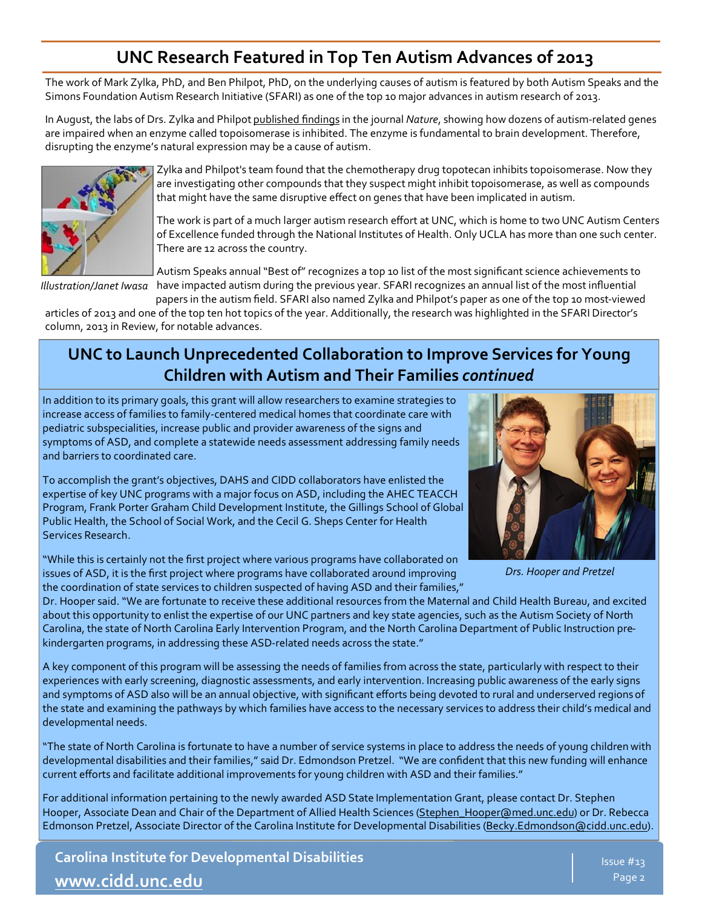# **UNC Research Featured in Top Ten Autism Advances of 2013**

The work of Mark Zylka, PhD, and Ben Philpot, PhD, on the underlying causes of autism is featured by both Autism Speaks and the Simons Foundation Autism Research Initiative (SFARI) as one of the top 10 major advances in autism research of 2013.

In August, the labs of Drs. Zylka and Philpot [published findings](http://www.nature.com/nature/journal/v501/n7465/full/nature12504.html) in the journal *Nature*, showing how dozens of autism-related genes are impaired when an enzyme called topoisomerase is inhibited. The enzyme is fundamental to brain development. Therefore, disrupting the enzyme's natural expression may be a cause of autism.



Zylka and Philpot's team found that the chemotherapy drug topotecan inhibits topoisomerase. Now they are investigating other compounds that they suspect might inhibit topoisomerase, as well as compounds that might have the same disruptive effect on genes that have been implicated in autism.

The work is part of a much larger autism research effort at UNC, which is home to two UNC Autism Centers [of Excellence](http://news.unchealthcare.org/news/2012/september/two-unc-faculty-receive-autism-center-of-excellence-grants-to-fund-new-research) funded through the National Institutes of Health. Only UCLA has more than one such center. There are 12 across the country.

Autism Speaks annual "Best of" recognizes a top 10 list of the most significant science achievements to *Illustration/Janet Iwasa* have impacted autism during the previous year. SFARI recognizes an annual list of the most influential

papers in the autism field. SFARI also named Zylka and Philpot's paper as one of the top 10 most-viewed articles of 2013 and one of the top ten hot topics of the year. Additionally, the research was highlighted in the SFARI Director's column, 2013 in Review, for notable advances.

### **UNC to Launch Unprecedented Collaboration to Improve Services for Young Children with Autism and Their Families** *continued*

In addition to its primary goals, this grant will allow researchers to examine strategies to increase access of families to family-centered medical homes that coordinate care with pediatric subspecialities, increase public and provider awareness of the signs and symptoms of ASD, and complete a statewide needs assessment addressing family needs and barriers to coordinated care.

To accomplish the grant's objectives, DAHS and CIDD collaborators have enlisted the expertise of key UNC programs with a major focus on ASD, including the AHEC TEACCH Program, Frank Porter Graham Child Development Institute, the Gillings School of Global Public Health, the School of Social Work, and the Cecil G. Sheps Center for Health Services Research.

"While this is certainly not the first project where various programs have collaborated on issues of ASD, it is the first project where programs have collaborated around improving the coordination of state services to children suspected of having ASD and their families,"



*Drs. Hooper and Pretzel* 

Dr. Hooper said. "We are fortunate to receive these additional resources from the Maternal and Child Health Bureau, and excited about this opportunity to enlist the expertise of our UNC partners and key state agencies, such as the Autism Society of North Carolina, the state of North Carolina Early Intervention Program, and the North Carolina Department of Public Instruction prekindergarten programs, in addressing these ASD-related needs across the state."

A key component of this program will be assessing the needs of families from across the state, particularly with respect to their experiences with early screening, diagnostic assessments, and early intervention. Increasing public awareness of the early signs and symptoms of ASD also will be an annual objective, with significant efforts being devoted to rural and underserved regions of the state and examining the pathways by which families have access to the necessary services to address their child's medical and developmental needs.

"The state of North Carolina is fortunate to have a number of service systems in place to address the needs of young children with developmental disabilities and their families," said Dr. Edmondson Pretzel. "We are confident that this new funding will enhance current efforts and facilitate additional improvements for young children with ASD and their families."

For additional information pertaining to the newly awarded ASD State Implementation Grant, please contact Dr. Stephen Hooper, Associate Dean and Chair of the Department of Allied Health Sciences [\(Stephen\\_Hooper@med.unc.edu\)](mailto:Stephen_Hooper@med.unc.edu) or Dr. Rebecca Edmonson Pretzel, Associate Director of the Carolina Institute for Developmental Disabilities [\(Becky.Edmondson@cidd.unc.edu\).](mailto:Becky.Edmondson@cidd.unc.edu)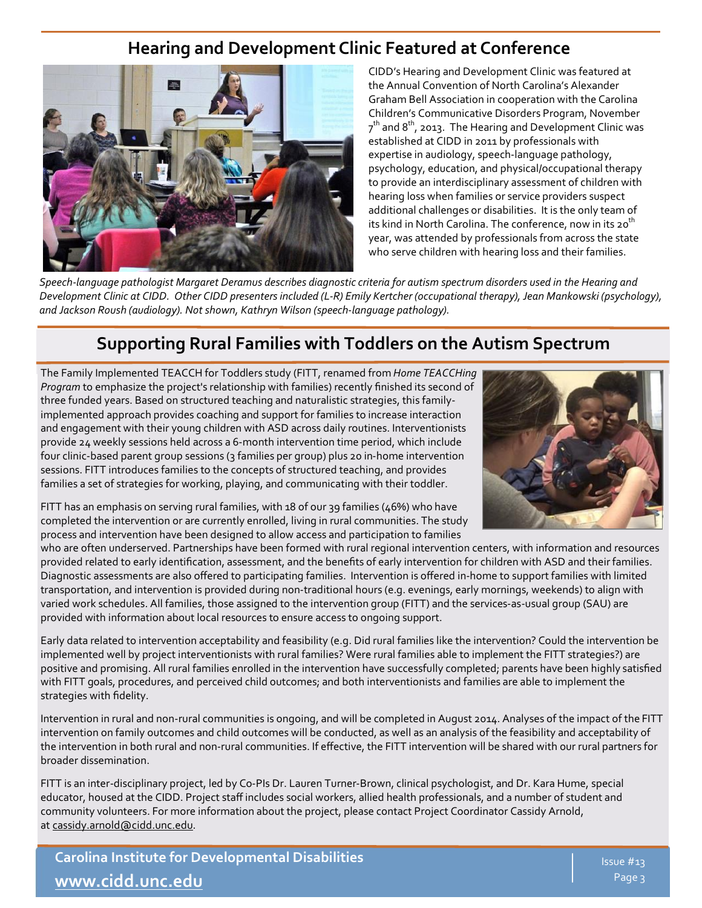## **Hearing and Development Clinic Featured at Conference**



CIDD's Hearing and Development Clinic was featured at the Annual Convention of North Carolina's Alexander Graham Bell Association in cooperation with the Carolina Children's Communicative Disorders Program, November  $7^{\text{th}}$  and  $8^{\text{th}}$ , 2013. The Hearing and Development Clinic was established at CIDD in 2011 by professionals with expertise in audiology, speech-language pathology, psychology, education, and physical/occupational therapy to provide an interdisciplinary assessment of children with hearing loss when families or service providers suspect additional challenges or disabilities. It is the only team of its kind in North Carolina. The conference, now in its  $20<sup>th</sup>$ year, was attended by professionals from across the state who serve children with hearing loss and their families.

*Speech-language pathologist Margaret Deramus describes diagnostic criteria for autism spectrum disorders used in the Hearing and Development Clinic at CIDD. Other CIDD presenters included (L-R) Emily Kertcher (occupational therapy), Jean Mankowski (psychology), and Jackson Roush (audiology). Not shown, Kathryn Wilson (speech-language pathology).* 

### **Supporting Rural Families with Toddlers on the Autism Spectrum**

The Family Implemented TEACCH for Toddlers study (FITT, renamed from *Home TEACCHing Program* to emphasize the project's relationship with families) recently finished its second of three funded years. Based on structured teaching and naturalistic strategies, this familyimplemented approach provides coaching and support for families to increase interaction and engagement with their young children with ASD across daily routines. Interventionists provide 24 weekly sessions held across a 6-month intervention time period, which include four clinic-based parent group sessions (3 families per group) plus 20 in-home intervention sessions. FITT introduces families to the concepts of structured teaching, and provides families a set of strategies for working, playing, and communicating with their toddler.



FITT has an emphasis on serving rural families, with 18 of our 39 families (46%) who have completed the intervention or are currently enrolled, living in rural communities. The study process and intervention have been designed to allow access and participation to families

who are often underserved. Partnerships have been formed with rural regional intervention centers, with information and resources provided related to early identification, assessment, and the benefits of early intervention for children with ASD and their families. Diagnostic assessments are also offered to participating families. Intervention is offered in-home to support families with limited transportation, and intervention is provided during non-traditional hours (e.g. evenings, early mornings, weekends) to align with varied work schedules. All families, those assigned to the intervention group (FITT) and the services-as-usual group (SAU) are provided with information about local resources to ensure access to ongoing support.

Early data related to intervention acceptability and feasibility (e.g. Did rural families like the intervention? Could the intervention be implemented well by project interventionists with rural families? Were rural families able to implement the FITT strategies?) are positive and promising. All rural families enrolled in the intervention have successfully completed; parents have been highly satisfied with FITT goals, procedures, and perceived child outcomes; and both interventionists and families are able to implement the strategies with fidelity.

Intervention in rural and non-rural communities is ongoing, and will be completed in August 2014. Analyses of the impact of the FITT intervention on family outcomes and child outcomes will be conducted, as well as an analysis of the feasibility and acceptability of the intervention in both rural and non-rural communities. If effective, the FITT intervention will be shared with our rural partners for broader dissemination.

FITT is an inter-disciplinary project, led by Co-PIs Dr. Lauren Turner-Brown, clinical psychologist, and Dr. Kara Hume, special educator, housed at the CIDD. Project staff includes social workers, allied health professionals, and a number of student and community volunteers. For more information about the project, please contact Project Coordinator Cassidy Arnold, at [cassidy.arnold@cidd.unc.edu.](mailto:cassidy.arnold@cidd.unc.edu)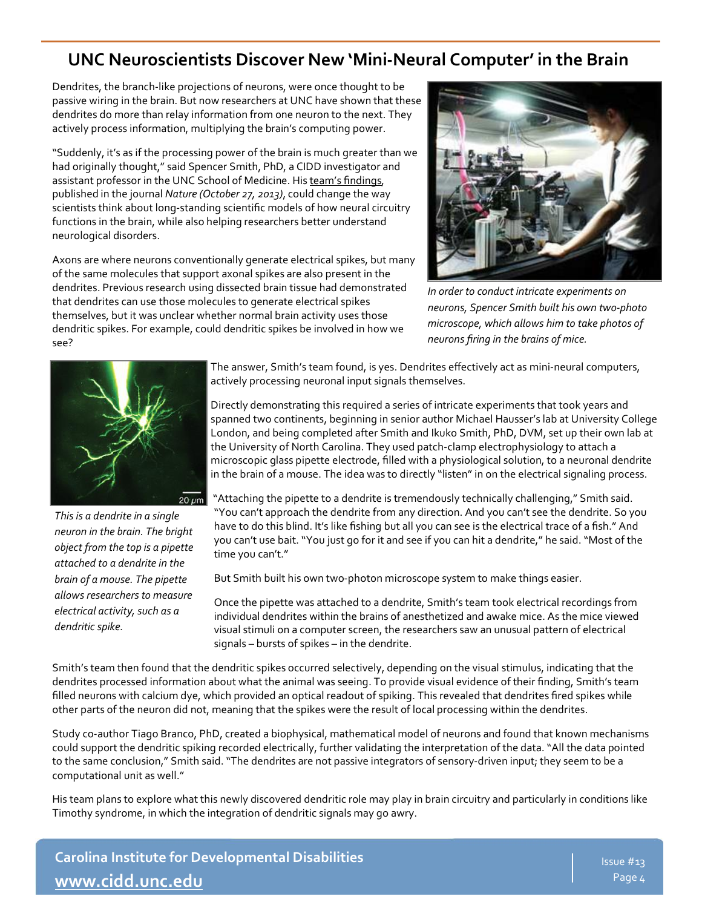## **UNC Neuroscientists Discover New 'Mini-Neural Computer' in the Brain**

Dendrites, the branch-like projections of neurons, were once thought to be passive wiring in the brain. But now researchers at UNC have shown that these dendrites do more than relay information from one neuron to the next. They actively process information, multiplying the brain's computing power.

"Suddenly, it's as if the processing power of the brain is much greater than we had originally thought," said Spencer Smith, PhD, a CIDD investigator and assistant professor in the UNC School of Medicine. His team's findings, published in the journal *Nature (October 27, 2013)*, could change the way scientists think about long-standing scientific models of how neural circuitry functions in the brain, while also helping researchers better understand neurological disorders.

Axons are where neurons conventionally generate electrical spikes, but many of the same molecules that support axonal spikes are also present in the dendrites. Previous research using dissected brain tissue had demonstrated that dendrites can use those molecules to generate electrical spikes themselves, but it was unclear whether normal brain activity uses those dendritic spikes. For example, could dendritic spikes be involved in how we see?



*In order to conduct intricate experiments on neurons, Spencer Smith built his own two-photo microscope, which allows him to take photos of neurons firing in the brains of mice.* 



*This is a dendrite in a single neuron in the brain. The bright object from the top is a pipette attached to a dendrite in the brain of a mouse. The pipette allows researchers to measure electrical activity, such as a dendritic spike.* 

The answer, Smith's team found, is yes. Dendrites effectively act as mini-neural computers, actively processing neuronal input signals themselves.

Directly demonstrating this required a series of intricate experiments that took years and spanned two continents, beginning in senior author Michael Hausser's lab at University College London, and being completed after Smith and Ikuko Smith, PhD, DVM, set up their own lab at the University of North Carolina. They used patch-clamp electrophysiology to attach a microscopic glass pipette electrode, filled with a physiological solution, to a neuronal dendrite in the brain of a mouse. The idea was to directly "listen" in on the electrical signaling process.

"Attaching the pipette to a dendrite is tremendously technically challenging," Smith said. "You can't approach the dendrite from any direction. And you can't see the dendrite. So you have to do this blind. It's like fishing but all you can see is the electrical trace of a fish." And you can't use bait. "You just go for it and see if you can hit a dendrite," he said. "Most of the time you can't."

But Smith built his own two-photon microscope system to make things easier.

Once the pipette was attached to a dendrite, Smith's team took electrical recordings from individual dendrites within the brains of anesthetized and awake mice. As the mice viewed visual stimuli on a computer screen, the researchers saw an unusual pattern of electrical signals – bursts of spikes – in the dendrite.

Smith's team then found that the dendritic spikes occurred selectively, depending on the visual stimulus, indicating that the dendrites processed information about what the animal was seeing. To provide visual evidence of their finding, Smith's team filled neurons with calcium dye, which provided an optical readout of spiking. This revealed that dendrites fired spikes while other parts of the neuron did not, meaning that the spikes were the result of local processing within the dendrites.

Study co-author Tiago Branco, PhD, created a biophysical, mathematical model of neurons and found that known mechanisms could support the dendritic spiking recorded electrically, further validating the interpretation of the data. "All the data pointed to the same conclusion," Smith said. "The dendrites are not passive integrators of sensory-driven input; they seem to be a computational unit as well."

His team plans to explore what this newly discovered dendritic role may play in brain circuitry and particularly in conditions like Timothy syndrome, in which the integration of dendritic signals may go awry.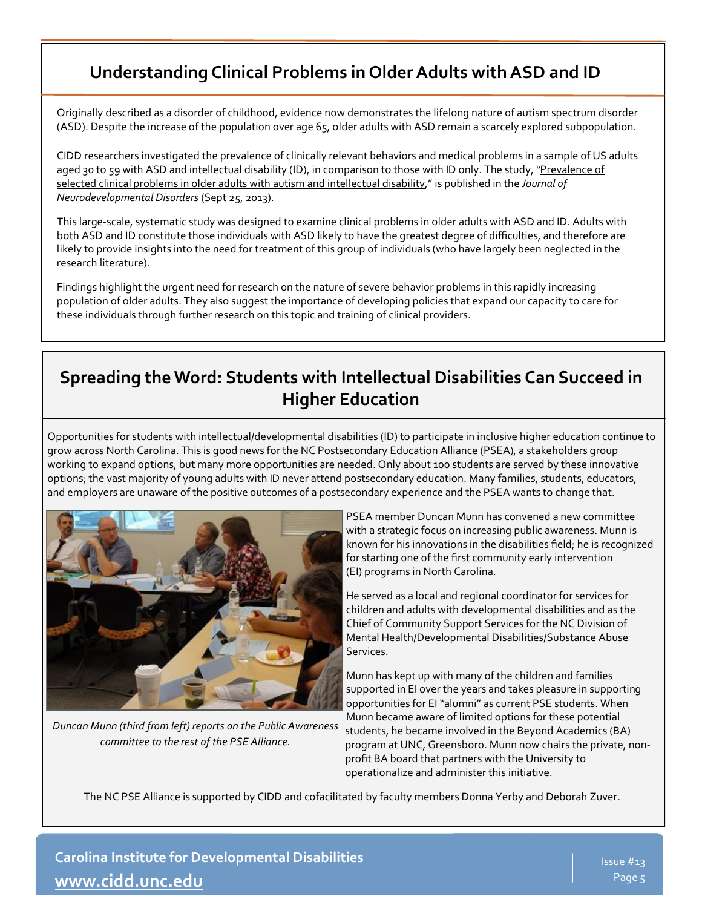# **Understanding Clinical Problems in Older Adults with ASD and ID**

Originally described as a disorder of childhood, evidence now demonstrates the lifelong nature of autism spectrum disorder (ASD). Despite the increase of the population over age 65, older adults with ASD remain a scarcely explored subpopulation.

CIDD researchers investigated the prevalence of clinically relevant behaviors and medical problems in a sample of US adults aged 30 to 59 with ASD and intellectual disability (ID), in comparison to those with ID only. The study, "Prevalence of [selected clinical problems in older adults with autism and intellectual disability,](http://www.jneurodevdisorders.com/content/5/1/27)" is published in the *Journal of Neurodevelopmental Disorders* (Sept 25, 2013).

This large-scale, systematic study was designed to examine clinical problems in older adults with ASD and ID. Adults with both ASD and ID constitute those individuals with ASD likely to have the greatest degree of difficulties, and therefore are likely to provide insights into the need for treatment of this group of individuals (who have largely been neglected in the research literature).

Findings highlight the urgent need for research on the nature of severe behavior problems in this rapidly increasing population of older adults. They also suggest the importance of developing policies that expand our capacity to care for these individuals through further research on this topic and training of clinical providers.

# **Spreading the Word: Students with Intellectual Disabilities Can Succeed in Higher Education**

Opportunities for students with intellectual/developmental disabilities (ID) to participate in inclusive higher education continue to grow across North Carolina. This is good news for the NC Postsecondary Education Alliance (PSEA), a stakeholders group working to expand options, but many more opportunities are needed. Only about 100 students are served by these innovative options; the vast majority of young adults with ID never attend postsecondary education. Many families, students, educators, and employers are unaware of the positive outcomes of a postsecondary experience and the PSEA wants to change that.



*Duncan Munn (third from left) reports on the Public Awareness committee to the rest of the PSE Alliance.* 

PSEA member Duncan Munn has convened a new committee with a strategic focus on increasing public awareness. Munn is known for his innovations in the disabilities field; he is recognized for starting one of the first community early intervention (EI) programs in North Carolina.

He served as a local and regional coordinator for services for children and adults with developmental disabilities and as the Chief of Community Support Services for the NC Division of Mental Health/Developmental Disabilities/Substance Abuse Services.

Munn has kept up with many of the children and families supported in EI over the years and takes pleasure in supporting opportunities for EI "alumni" as current PSE students. When Munn became aware of limited options for these potential students, he became involved in the Beyond Academics (BA) program at UNC, Greensboro. Munn now chairs the private, nonprofit BA board that partners with the University to operationalize and administer this initiative.

The NC PSE Alliance is supported by CIDD and cofacilitated by faculty members Donna Yerby and Deborah Zuver.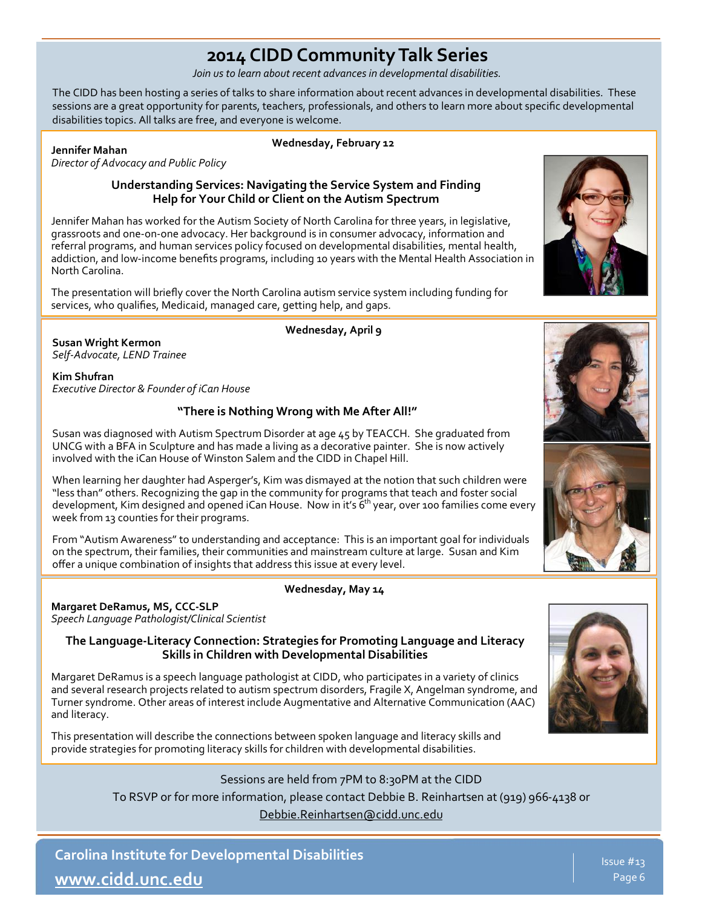# **2014 CIDD Community Talk Series**

*Join us to learn about recent advances in developmental disabilities.* 

The CIDD has been hosting a series of talks to share information about recent advances in developmental disabilities. These sessions are a great opportunity for parents, teachers, professionals, and others to learn more about specific developmental disabilities topics. All talks are free, and everyone is welcome.

#### **Jennifer Mahan**

**Wednesday, February 12**

*Director of Advocacy and Public Policy*

#### **Understanding Services: Navigating the Service System and Finding Help for Your Child or Client on the Autism Spectrum**

Jennifer Mahan has worked for the Autism Society of North Carolina for three years, in legislative, grassroots and one-on-one advocacy. Her background is in consumer advocacy, information and referral programs, and human services policy focused on developmental disabilities, mental health, addiction, and low-income benefits programs, including 10 years with the Mental Health Association in North Carolina.

The presentation will briefly cover the North Carolina autism service system including funding for services, who qualifies, Medicaid, managed care, getting help, and gaps.

**Wednesday, April 9**

**Susan Wright Kermon** *Self-Advocate, LEND Trainee* 

**Kim Shufran** *Executive Director & Founder of iCan House*

#### **"There is Nothing Wrong with Me After All!"**

Susan was diagnosed with Autism Spectrum Disorder at age 45 by TEACCH. She graduated from UNCG with a BFA in Sculpture and has made a living as a decorative painter. She is now actively involved with the iCan House of Winston Salem and the CIDD in Chapel Hill.

When learning her daughter had Asperger's, Kim was dismayed at the notion that such children were "less than" others. Recognizing the gap in the community for programs that teach and foster social development, Kim designed and opened iCan House. Now in it's 6<sup>th</sup> year, over 100 families come every week from 13 counties for their programs.

From "Autism Awareness" to understanding and acceptance: This is an important goal for individuals on the spectrum, their families, their communities and mainstream culture at large. Susan and Kim offer a unique combination of insights that address this issue at every level.

#### **Wednesday, May 14**

#### **Margaret DeRamus, MS, CCC-SLP**  *Speech Language Pathologist/Clinical Scientist*

**The Language-Literacy Connection: Strategies for Promoting Language and Literacy Skills in Children with Developmental Disabilities**

Margaret DeRamus is a speech language pathologist at CIDD, who participates in a variety of clinics and several research projects related to autism spectrum disorders, Fragile X, Angelman syndrome, and Turner syndrome. Other areas of interest include Augmentative and Alternative Communication (AAC) and literacy.

This presentation will describe the connections between spoken language and literacy skills and provide strategies for promoting literacy skills for children with developmental disabilities.

> Sessions are held from 7PM to 8:30PM at the CIDD To RSVP or for more information, please contact Debbie B. Reinhartsen at (919) 966-4138 or [Debbie.Reinhartsen@cidd.unc.edu](mailto:Debbie.Reinhartsen@cidd.unc.edu?subject=2013%20CIDD%20Community%20Talk%20Series)

**Carolina Institute for Developmental Disabilities [www.cidd.unc.edu](http://www.cidd.unc.edu/)**



Issue #13 Page 6





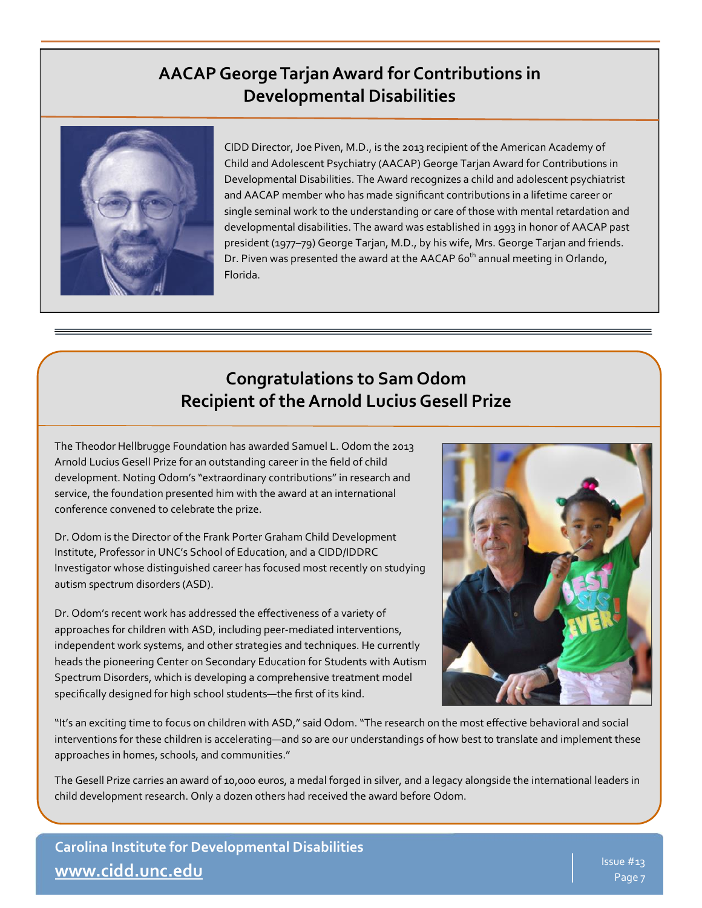### **AACAP George Tarjan Award for Contributions in Developmental Disabilities**



CIDD Director, Joe Piven, M.D., is the 2013 recipient of the American Academy of Child and Adolescent Psychiatry (AACAP) George Tarjan Award for Contributions in Developmental Disabilities. The Award recognizes a child and adolescent psychiatrist and AACAP member who has made significant contributions in a lifetime career or single seminal work to the understanding or care of those with mental retardation and developmental disabilities. The award was established in 1993 in honor of AACAP past president (1977–79) George Tarjan, M.D., by his wife, Mrs. George Tarjan and friends. Dr. Piven was presented the award at the AACAP 60<sup>th</sup> annual meeting in Orlando, Florida.

## **Congratulations to Sam Odom Recipient of the Arnold Lucius Gesell Prize**

The Theodor Hellbrugge Foundation has awarded Samuel L. Odom the 2013 Arnold Lucius Gesell Prize for an outstanding career in the field of child development. Noting Odom's "extraordinary contributions" in research and service, the foundation presented him with the award at an international conference convened to celebrate the prize.

Dr. Odom is the Director of the Frank Porter Graham Child Development Institute, Professor in UNC's School of Education, and a CIDD/IDDRC Investigator whose distinguished career has focused most recently on studying autism spectrum disorders (ASD).

Dr. Odom's recent work has addressed the effectiveness of a variety of approaches for children with ASD, including peer-mediated interventions, independent work systems, and other strategies and techniques. He currently heads the pioneering Center on Secondary Education for Students with Autism Spectrum Disorders, which is developing a comprehensive treatment model specifically designed for high school students—the first of its kind.



"It's an exciting time to focus on children with ASD," said Odom. "The research on the most effective behavioral and social interventions for these children is accelerating—and so are our understandings of how best to translate and implement these approaches in homes, schools, and communities."

The Gesell Prize carries an award of 10,000 euros, a medal forged in silver, and a legacy alongside the international leaders in child development research. Only a dozen others had received the award before Odom.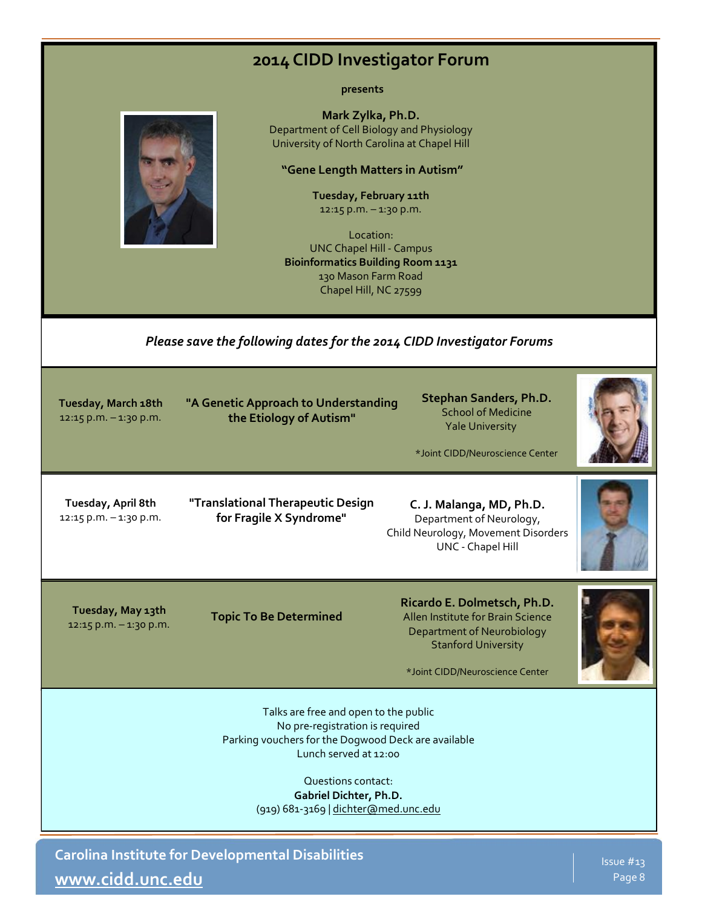### **2014 CIDD Investigator Forum**

**presents**

**Mark Zylka, Ph.D.** Department of Cell Biology and Physiology University of North Carolina at Chapel Hill

#### **"Gene Length Matters in Autism"**

**Tuesday, February 11th**  12:15 p.m. – 1:30 p.m.

Location: UNC Chapel Hill - Campus **Bioinformatics Building Room 1131** 130 Mason Farm Road Chapel Hill, NC 27599

#### *Please save the following dates for the 2014 CIDD Investigator Forums*

**Tuesday, March 18th**  $12:15$  p.m.  $-1:30$  p.m. **"A Genetic Approach to Understanding the Etiology of Autism"**

**Stephan Sanders, Ph.D.** School of Medicine Yale University

\*Joint CIDD/Neuroscience Center

**Tuesday, April 8th** 12:15 p.m. – 1:30 p.m. **"Translational Therapeutic Design for Fragile X Syndrome"**

**C. J. Malanga, MD, Ph.D.** Department of Neurology, Child Neurology, Movement Disorders UNC - Chapel Hill

**Tuesday, May 13th** 12:15 p.m. – 1:30 p.m.

**Topic To Be Determined**

**Ricardo E. Dolmetsch, Ph.D.** Allen Institute for Brain Science Department of Neurobiology Stanford University

\*Joint CIDD/Neuroscience Center

Talks are free and open to the public No pre-registration is required Parking vouchers for the Dogwood Deck are available Lunch served at 12:00

> Questions contact: **Gabriel Dichter, Ph.D.**  (919) 681-3169 | [dichter@med.unc.edu](mailto:dichter@med.unc.edu)

**Carolina Institute for Developmental Disabilities [www.cidd.unc.edu](http://www.cidd.unc.edu/)**

Issue #13 Page 8

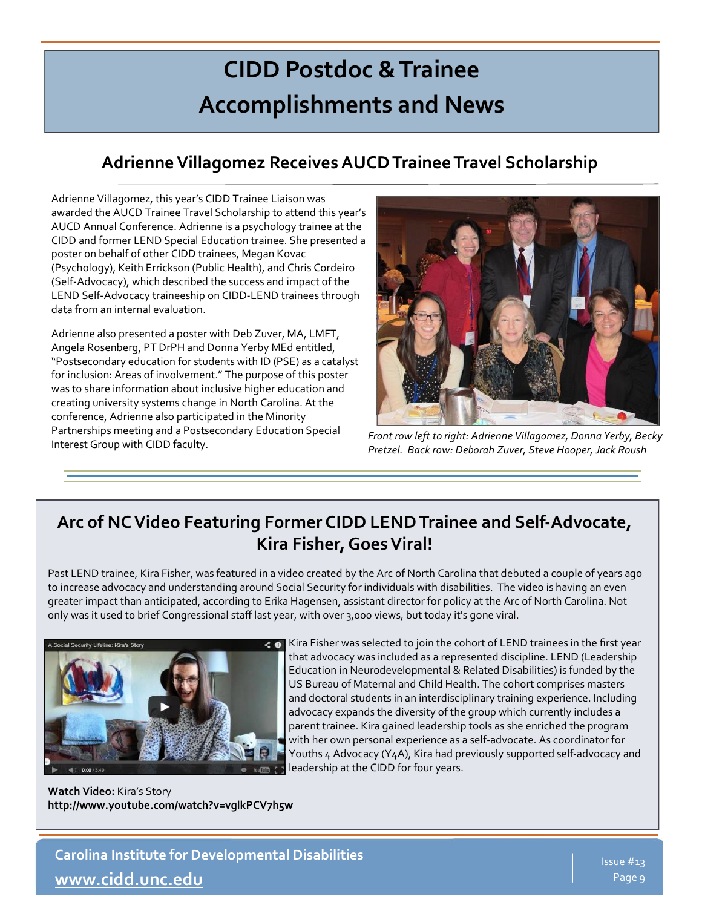# **CIDD Postdoc & Trainee Accomplishments and News**

# **Adrienne Villagomez Receives AUCD Trainee Travel Scholarship**

Adrienne Villagomez, this year's CIDD Trainee Liaison was awarded the AUCD Trainee Travel Scholarship to attend this year's AUCD Annual Conference. Adrienne is a psychology trainee at the CIDD and former LEND Special Education trainee. She presented a poster on behalf of other CIDD trainees, Megan Kovac (Psychology), Keith Errickson (Public Health), and Chris Cordeiro (Self-Advocacy), which described the success and impact of the LEND Self-Advocacy traineeship on CIDD-LEND trainees through data from an internal evaluation.

Adrienne also presented a poster with Deb Zuver, MA, LMFT, Angela Rosenberg, PT DrPH and Donna Yerby MEd entitled, "Postsecondary education for students with ID (PSE) as a catalyst for inclusion: Areas of involvement." The purpose of this poster was to share information about inclusive higher education and creating university systems change in North Carolina. At the conference, Adrienne also participated in the Minority Partnerships meeting and a Postsecondary Education Special Interest Group with CIDD faculty.



*Front row left to right: Adrienne Villagomez, Donna Yerby, Becky Pretzel. Back row: Deborah Zuver, Steve Hooper, Jack Roush*

# **Arc of NC Video Featuring Former CIDD LEND Trainee and Self-Advocate, Kira Fisher, Goes Viral!**

Past LEND trainee, Kira Fisher, was featured in a video created by the Arc of North Carolina that debuted a couple of years ago to increase advocacy and understanding around Social Security for individuals with disabilities. The video is having an even greater impact than anticipated, according to Erika Hagensen, assistant director for policy at the Arc of North Carolina. Not only was it used to brief Congressional staff last year, with over 3,000 views, but today it's gone viral.



Kira Fisher was selected to join the cohort of LEND trainees in the first year that advocacy was included as a represented discipline. LEND (Leadership Education in Neurodevelopmental & Related Disabilities) is funded by the US Bureau of Maternal and Child Health. The cohort comprises masters and doctoral students in an interdisciplinary training experience. Including advocacy expands the diversity of the group which currently includes a parent trainee. Kira gained leadership tools as she enriched the program with her own personal experience as a self-advocate. As coordinator for Youths 4 Advocacy (Y4A), Kira had previously supported self-advocacy and leadership at the CIDD for four years.

**Watch Video:** Kira's Story **<http://www.youtube.com/watch?v=vglkPCV7h5w>**